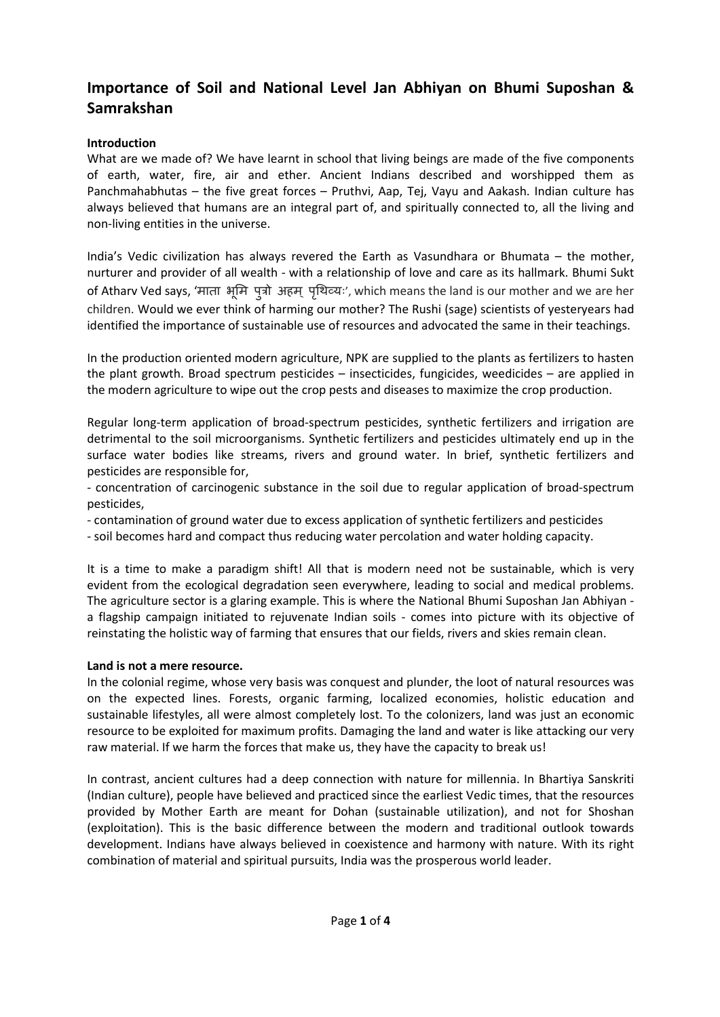# **Importance of Soil and National Level Jan Abhiyan on Bhumi Suposhan & Samrakshan**

### **Introduction**

What are we made of? We have learnt in school that living beings are made of the five components of earth, water, fire, air and ether. Ancient Indians described and worshipped them as Panchmahabhutas – the five great forces – Pruthvi, Aap, Tej, Vayu and Aakash. Indian culture has always believed that humans are an integral part of, and spiritually connected to, all the living and non-living entities in the universe.

India's Vedic civilization has always revered the Earth as Vasundhara or Bhumata – the mother, nurturer and provider of all wealth - with a relationship of love and care as its hallmark. Bhumi Sukt of Atharv Ved says, 'माता भूमि पूत्रो अहम् पृथिव्यः', which means the land is our mother and we are her children. Would we ever think of harming our mother? The Rushi (sage) scientists of yesteryears had identified the importance of sustainable use of resources and advocated the same in their teachings.

In the production oriented modern agriculture, NPK are supplied to the plants as fertilizers to hasten the plant growth. Broad spectrum pesticides – insecticides, fungicides, weedicides – are applied in the modern agriculture to wipe out the crop pests and diseases to maximize the crop production.

Regular long-term application of broad-spectrum pesticides, synthetic fertilizers and irrigation are detrimental to the soil microorganisms. Synthetic fertilizers and pesticides ultimately end up in the surface water bodies like streams, rivers and ground water. In brief, synthetic fertilizers and pesticides are responsible for,

- concentration of carcinogenic substance in the soil due to regular application of broad-spectrum pesticides,

- contamination of ground water due to excess application of synthetic fertilizers and pesticides

- soil becomes hard and compact thus reducing water percolation and water holding capacity.

It is a time to make a paradigm shift! All that is modern need not be sustainable, which is very evident from the ecological degradation seen everywhere, leading to social and medical problems. The agriculture sector is a glaring example. This is where the National Bhumi Suposhan Jan Abhiyan a flagship campaign initiated to rejuvenate Indian soils - comes into picture with its objective of reinstating the holistic way of farming that ensures that our fields, rivers and skies remain clean.

#### **Land is not a mere resource.**

In the colonial regime, whose very basis was conquest and plunder, the loot of natural resources was on the expected lines. Forests, organic farming, localized economies, holistic education and sustainable lifestyles, all were almost completely lost. To the colonizers, land was just an economic resource to be exploited for maximum profits. Damaging the land and water is like attacking our very raw material. If we harm the forces that make us, they have the capacity to break us!

In contrast, ancient cultures had a deep connection with nature for millennia. In Bhartiya Sanskriti (Indian culture), people have believed and practiced since the earliest Vedic times, that the resources provided by Mother Earth are meant for Dohan (sustainable utilization), and not for Shoshan (exploitation). This is the basic difference between the modern and traditional outlook towards development. Indians have always believed in coexistence and harmony with nature. With its right combination of material and spiritual pursuits, India was the prosperous world leader.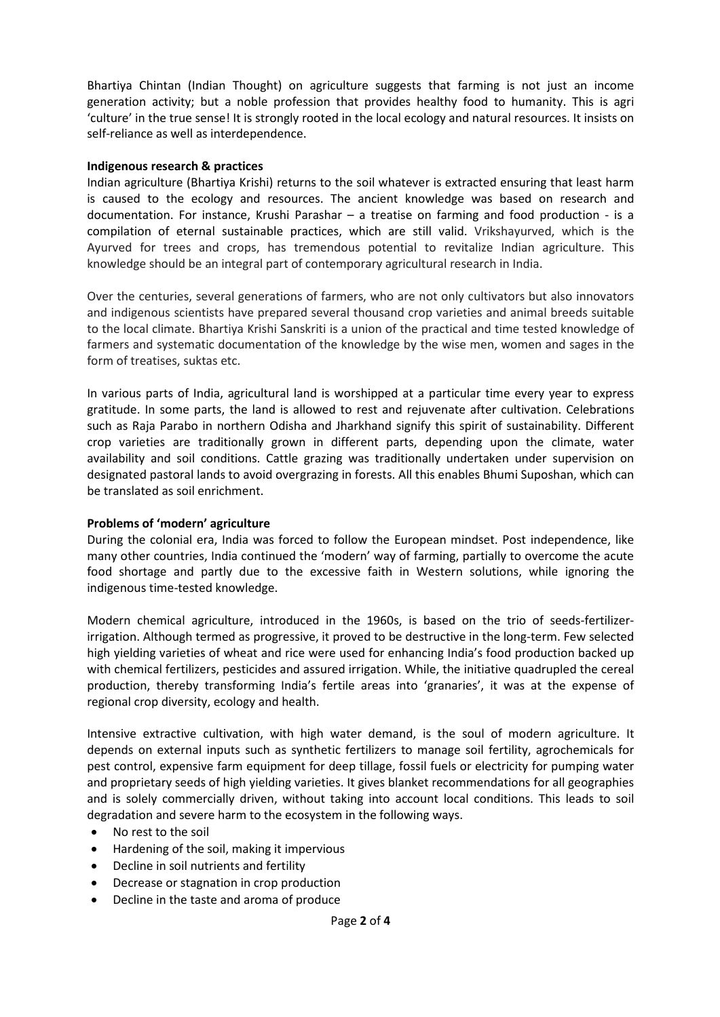Bhartiya Chintan (Indian Thought) on agriculture suggests that farming is not just an income generation activity; but a noble profession that provides healthy food to humanity. This is agri 'culture' in the true sense! It is strongly rooted in the local ecology and natural resources. It insists on self-reliance as well as interdependence.

#### **Indigenous research & practices**

Indian agriculture (Bhartiya Krishi) returns to the soil whatever is extracted ensuring that least harm is caused to the ecology and resources. The ancient knowledge was based on research and documentation. For instance, Krushi Parashar – a treatise on farming and food production - is a compilation of eternal sustainable practices, which are still valid. Vrikshayurved, which is the Ayurved for trees and crops, has tremendous potential to revitalize Indian agriculture. This knowledge should be an integral part of contemporary agricultural research in India.

Over the centuries, several generations of farmers, who are not only cultivators but also innovators and indigenous scientists have prepared several thousand crop varieties and animal breeds suitable to the local climate. Bhartiya Krishi Sanskriti is a union of the practical and time tested knowledge of farmers and systematic documentation of the knowledge by the wise men, women and sages in the form of treatises, suktas etc.

In various parts of India, agricultural land is worshipped at a particular time every year to express gratitude. In some parts, the land is allowed to rest and rejuvenate after cultivation. Celebrations such as Raja Parabo in northern Odisha and Jharkhand signify this spirit of sustainability. Different crop varieties are traditionally grown in different parts, depending upon the climate, water availability and soil conditions. Cattle grazing was traditionally undertaken under supervision on designated pastoral lands to avoid overgrazing in forests. All this enables Bhumi Suposhan, which can be translated as soil enrichment.

#### **Problems of 'modern' agriculture**

During the colonial era, India was forced to follow the European mindset. Post independence, like many other countries, India continued the 'modern' way of farming, partially to overcome the acute food shortage and partly due to the excessive faith in Western solutions, while ignoring the indigenous time-tested knowledge.

Modern chemical agriculture, introduced in the 1960s, is based on the trio of seeds-fertilizerirrigation. Although termed as progressive, it proved to be destructive in the long-term. Few selected high yielding varieties of wheat and rice were used for enhancing India's food production backed up with chemical fertilizers, pesticides and assured irrigation. While, the initiative quadrupled the cereal production, thereby transforming India's fertile areas into 'granaries', it was at the expense of regional crop diversity, ecology and health.

Intensive extractive cultivation, with high water demand, is the soul of modern agriculture. It depends on external inputs such as synthetic fertilizers to manage soil fertility, agrochemicals for pest control, expensive farm equipment for deep tillage, fossil fuels or electricity for pumping water and proprietary seeds of high yielding varieties. It gives blanket recommendations for all geographies and is solely commercially driven, without taking into account local conditions. This leads to soil degradation and severe harm to the ecosystem in the following ways.

- No rest to the soil
- Hardening of the soil, making it impervious
- Decline in soil nutrients and fertility
- Decrease or stagnation in crop production
- Decline in the taste and aroma of produce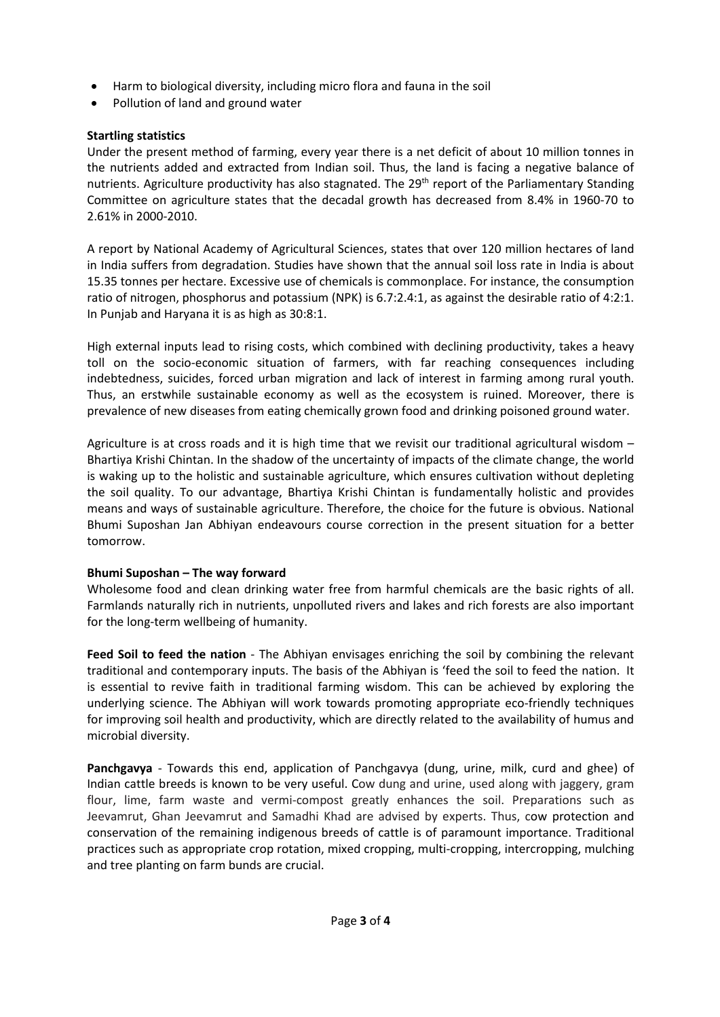- Harm to biological diversity, including micro flora and fauna in the soil
- Pollution of land and ground water

#### **Startling statistics**

Under the present method of farming, every year there is a net deficit of about 10 million tonnes in the nutrients added and extracted from Indian soil. Thus, the land is facing a negative balance of nutrients. Agriculture productivity has also stagnated. The 29<sup>th</sup> report of the Parliamentary Standing Committee on agriculture states that the decadal growth has decreased from 8.4% in 1960-70 to 2.61% in 2000-2010.

A report by National Academy of Agricultural Sciences, states that over 120 million hectares of land in India suffers from degradation. Studies have shown that the annual soil loss rate in India is about 15.35 tonnes per hectare. Excessive use of chemicals is commonplace. For instance, the consumption ratio of nitrogen, phosphorus and potassium (NPK) is 6.7:2.4:1, as against the desirable ratio of 4:2:1. In Punjab and Haryana it is as high as 30:8:1.

High external inputs lead to rising costs, which combined with declining productivity, takes a heavy toll on the socio-economic situation of farmers, with far reaching consequences including indebtedness, suicides, forced urban migration and lack of interest in farming among rural youth. Thus, an erstwhile sustainable economy as well as the ecosystem is ruined. Moreover, there is prevalence of new diseases from eating chemically grown food and drinking poisoned ground water.

Agriculture is at cross roads and it is high time that we revisit our traditional agricultural wisdom – Bhartiya Krishi Chintan. In the shadow of the uncertainty of impacts of the climate change, the world is waking up to the holistic and sustainable agriculture, which ensures cultivation without depleting the soil quality. To our advantage, Bhartiya Krishi Chintan is fundamentally holistic and provides means and ways of sustainable agriculture. Therefore, the choice for the future is obvious. National Bhumi Suposhan Jan Abhiyan endeavours course correction in the present situation for a better tomorrow.

#### **Bhumi Suposhan – The way forward**

Wholesome food and clean drinking water free from harmful chemicals are the basic rights of all. Farmlands naturally rich in nutrients, unpolluted rivers and lakes and rich forests are also important for the long-term wellbeing of humanity.

**Feed Soil to feed the nation** - The Abhiyan envisages enriching the soil by combining the relevant traditional and contemporary inputs. The basis of the Abhiyan is 'feed the soil to feed the nation. It is essential to revive faith in traditional farming wisdom. This can be achieved by exploring the underlying science. The Abhiyan will work towards promoting appropriate eco-friendly techniques for improving soil health and productivity, which are directly related to the availability of humus and microbial diversity.

**Panchgavya** - Towards this end, application of Panchgavya (dung, urine, milk, curd and ghee) of Indian cattle breeds is known to be very useful. Cow dung and urine, used along with jaggery, gram flour, lime, farm waste and vermi-compost greatly enhances the soil. Preparations such as Jeevamrut, Ghan Jeevamrut and Samadhi Khad are advised by experts. Thus, cow protection and conservation of the remaining indigenous breeds of cattle is of paramount importance. Traditional practices such as appropriate crop rotation, mixed cropping, multi-cropping, intercropping, mulching and tree planting on farm bunds are crucial.